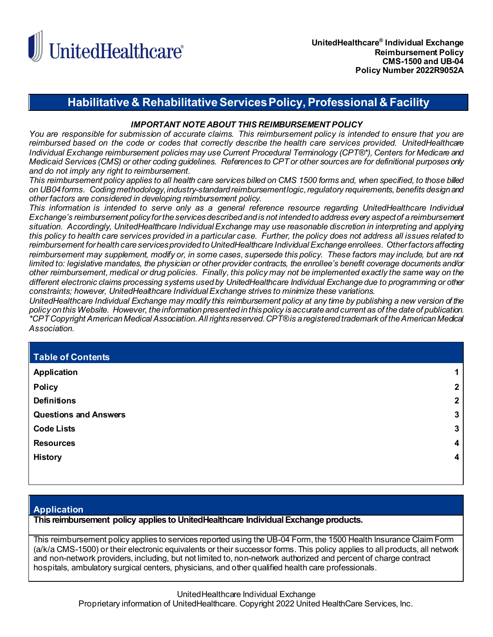

# **Habilitative & Rehabilitative Services Policy, Professional & Facility**

## *IMPORTANT NOTE ABOUT THIS REIMBURSEMENT POLICY*

*You are responsible for submission of accurate claims. This reimbursement policy is intended to ensure that you are reimbursed based on the code or codes that correctly describe the health care services provided. UnitedHealthcare Individual Exchange reimbursement policies may use Current Procedural Terminology (CPT®\*), Centers for Medicare and Medicaid Services (CMS) or other coding guidelines. References to CPT or other sources are for definitional purposes only and do not imply any right to reimbursement.*

*This reimbursement policy applies to all health care services billed on CMS 1500 forms and, when specified, to those billed on UB04 forms. Coding methodology, industry-standard reimbursement logic, regulatory requirements, benefits design and other factors are considered in developing reimbursement policy.*

*This information is intended to serve only as a general reference resource regarding UnitedHealthcare Individual Exchange's reimbursement policy for the services described and is not intended to address every aspect of a reimbursement situation. Accordingly, UnitedHealthcare IndividualExchange may use reasonable discretion in interpreting and applying this policy to health care services provided in a particular case. Further, the policy does not address all issues related to reimbursement for health care services provided to UnitedHealthcare IndividualExchangeenrollees. Other factors affecting reimbursement may supplement, modify or, in some cases, supersede this policy. These factors may include, but are not limited to: legislative mandates, the physician or other provider contracts, the enrollee's benefit coverage documents and/or other reimbursement, medical or drug policies. Finally, this policy may not be implemented exactly the same way on the different electronic claims processing systems used by UnitedHealthcare Individual Exchangedue to programming or other constraints; however, UnitedHealthcare IndividualExchange strives to minimize these variations.*

*UnitedHealthcare Individual Exchange may modify this reimbursement policy at any time by publishing a new version of the policy on this Website. However, the information presented in this policy is accurate and current as of the date of publication. \*CPT Copyright American Medical Association. All rights reserved. CPT® is a registered trademark of the American Medical Association.*

| <b>Table of Contents</b>     |                |
|------------------------------|----------------|
| <b>Application</b>           |                |
| <b>Policy</b>                | $\overline{2}$ |
| <b>Definitions</b>           | $\mathbf{2}$   |
| <b>Questions and Answers</b> | 3              |
| <b>Code Lists</b>            | 3              |
| <b>Resources</b>             | 4              |
| <b>History</b>               | 4              |
|                              |                |

### <span id="page-0-0"></span>**Application**

**This reimbursement policy applies to UnitedHealthcare Individual Exchange products.**

This reimbursement policy applies to services reported using the UB-04 Form, the 1500 Health Insurance Claim Form (a/k/a CMS-1500) or their electronic equivalents or their successor forms. This policy applies to all products, all network and non-network providers, including, but not limited to, non-network authorized and percent of charge contract hospitals, ambulatory surgical centers, physicians, and other qualified health care professionals.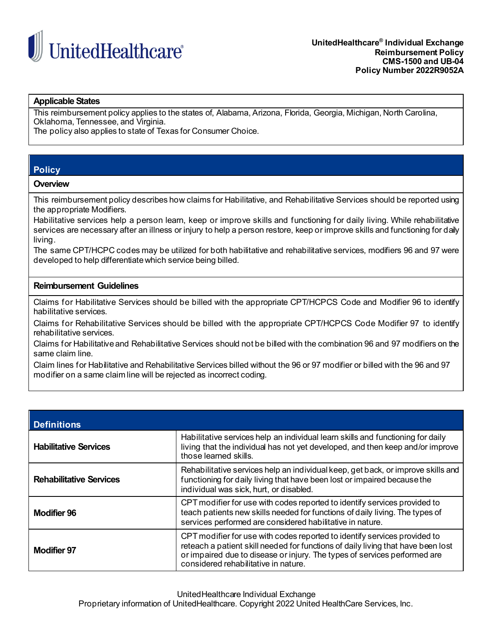

#### **Applicable States**

This reimbursement policy applies to the states of, Alabama, Arizona, Florida, Georgia, Michigan, North Carolina, Oklahoma, Tennessee, and Virginia.

The policy also applies to state of Texas for Consumer Choice.

## <span id="page-1-0"></span>**Policy**

#### **Overview**

This reimbursement policy describes how claims for Habilitative, and Rehabilitative Services should be reported using the appropriate Modifiers.

Habilitative services help a person learn, keep or improve skills and functioning for daily living. While rehabilitative services are necessary after an illness or injury to help a person restore, keep or improve skills and functioning for daily living.

The same CPT/HCPC codes may be utilized for both habilitative and rehabilitative services, modifiers 96 and 97 were developed to help differentiate which service being billed.

#### **Reimbursement Guidelines**

Claims for Habilitative Services should be billed with the appropriate CPT/HCPCS Code and Modifier 96 to identify habilitative services.

Claims for Rehabilitative Services should be billed with the appropriate CPT/HCPCS Code Modifier 97 to identify rehabilitative services.

Claims for Habilitative and Rehabilitative Services should not be billed with the combination 96 and 97 modifiers on the same claim line.

Claim lines for Habilitative and Rehabilitative Services billed without the 96 or 97 modifier or billed with the 96 and 97 modifier on a same claim line will be rejected as incorrect coding.

<span id="page-1-1"></span>

| <b>Definitions</b>             |                                                                                                                                                                                                                                                                                    |
|--------------------------------|------------------------------------------------------------------------------------------------------------------------------------------------------------------------------------------------------------------------------------------------------------------------------------|
| <b>Habilitative Services</b>   | Habilitative services help an individual learn skills and functioning for daily<br>living that the individual has not yet developed, and then keep and/or improve<br>those learned skills.                                                                                         |
| <b>Rehabilitative Services</b> | Rehabilitative services help an individual keep, get back, or improve skills and<br>functioning for daily living that have been lost or impaired because the<br>individual was sick, hurt, or disabled.                                                                            |
| <b>Modifier 96</b>             | CPT modifier for use with codes reported to identify services provided to<br>teach patients new skills needed for functions of daily living. The types of<br>services performed are considered habilitative in nature.                                                             |
| <b>Modifier 97</b>             | CPT modifier for use with codes reported to identify services provided to<br>reteach a patient skill needed for functions of daily living that have been lost<br>or impaired due to disease or injury. The types of services performed are<br>considered rehabilitative in nature. |

UnitedHealthcare Individual Exchange

Proprietary information of UnitedHealthcare. Copyright 2022 United HealthCare Services, Inc.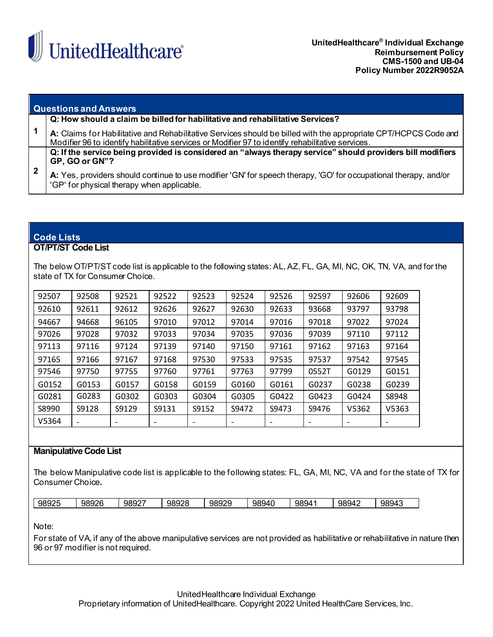

<span id="page-2-0"></span>

| Questions and Answers                                                                                                                                                                                                |
|----------------------------------------------------------------------------------------------------------------------------------------------------------------------------------------------------------------------|
| Q: How should a claim be billed for habilitative and rehabilitative Services?                                                                                                                                        |
| A: Claims for Habilitative and Rehabilitative Services should be billed with the appropriate CPT/HCPCS Code and<br>Modifier 96 to identify habilitative services or Modifier 97 to identify rehabilitative services. |
| Q: If the service being provided is considered an "always therapy service" should providers bill modifiers<br>GP, GO or GN"?                                                                                         |
| A: Yes, providers should continue to use modifier 'GN' for speech therapy, 'GO' for occupational therapy, and/or<br>'GP' for physical therapy when applicable.                                                       |

# <span id="page-2-1"></span>**Code Lists**

## **OT/PT/ST Code List**

The below OT/PT/ST code list is applicable to the following states: AL, AZ, FL, GA, MI, NC, OK, TN, VA, and for the state of TX for Consumer Choice.

| 92507 | 92508 | 92521 | 92522 | 92523 | 92524 | 92526 | 92597 | 92606 | 92609 |
|-------|-------|-------|-------|-------|-------|-------|-------|-------|-------|
| 92610 | 92611 | 92612 | 92626 | 92627 | 92630 | 92633 | 93668 | 93797 | 93798 |
| 94667 | 94668 | 96105 | 97010 | 97012 | 97014 | 97016 | 97018 | 97022 | 97024 |
| 97026 | 97028 | 97032 | 97033 | 97034 | 97035 | 97036 | 97039 | 97110 | 97112 |
| 97113 | 97116 | 97124 | 97139 | 97140 | 97150 | 97161 | 97162 | 97163 | 97164 |
| 97165 | 97166 | 97167 | 97168 | 97530 | 97533 | 97535 | 97537 | 97542 | 97545 |
| 97546 | 97750 | 97755 | 97760 | 97761 | 97763 | 97799 | 0552T | G0129 | G0151 |
| G0152 | G0153 | G0157 | G0158 | G0159 | G0160 | G0161 | G0237 | G0238 | G0239 |
| G0281 | G0283 | G0302 | G0303 | G0304 | G0305 | G0422 | G0423 | G0424 | S8948 |
| S8990 | S9128 | S9129 | S9131 | S9152 | S9472 | S9473 | S9476 | V5362 | V5363 |
| V5364 |       |       |       |       |       |       |       |       |       |

### **Manipulative Code List**

The below Manipulative code list is applicable to the following states: FL, GA, MI, NC, VA and for the state of TX for Consumer Choice**.**

| 98925 | 98926 | 98927 | 98928 | 98929 | 98940 | 9894 | 989<br>√Q⊿.<br>∕ ∪ ∪ | <b>02043</b><br>9894J |
|-------|-------|-------|-------|-------|-------|------|----------------------|-----------------------|
|       |       |       |       |       |       |      |                      |                       |

Note:

For state of VA, if any of the above manipulative services are not provided as habilitative or rehabilitative in nature then 96 or 97 modifier is not required.